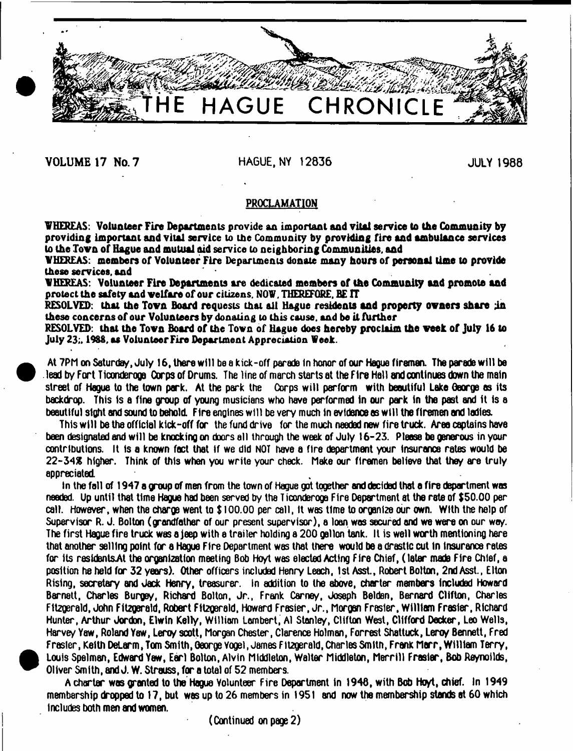**VOLUME 17 No. 7** HAGUE, NY 12836 JULY 1988

 $\bullet$ 

•

**THE HAGUE CHRONICLE**

# **PROCLAMATION**

**VHEREAS: Volunteer Fire Departments provide an important and vital service to the Community by providing Important and vital service to the Community by providing fire and ambulance services to the Tovn of Hague and mutual aid service to neighboring Communities, and**

**VHEREAS: members of Volunteer Fire Departments donate many hours of personal time to provide these services, and**

**VHEREAS: Volunteer Fire Departments are dedicated members of the Community and promote and protect the safety and velfare of our citizens. NOV, THEREFORE, BE TT**

**RESOLVED: that the Tovn Board requests that all Hague residents and property ovners share in these concerns of our Volunteers by donating to this cause, and be it further**

**RESOLVED: that the Tovn Board of the Tovn of Hague does hereby proclaim the veek of July 16 to** July 23;, 1988, as Volunteer Fire Department Appreciation Week.

At 7PM on Saturday, July 16, there will be a kick-off parade in honor of our Hague firemen. The parade will be lead by Fort Tioonderoga Corps of Drums. The line of march starts at the Fire Hall and continues down the main street of Hague to the town park. At the park the Corps w ill perform with beautiful Lake George es its backdrop. This Is a fine group of young musicians who have performed In our park In the past and It Is a beautiful sight and sound to behold. Fire engines will be very much in evidence as will the firemen and ladies.

This w ill be the official kick-off for the fund drive for the much needed new fire truck. Area captains have been designated and w ill be knocking on doors all through the week of July 16-23. Please be generous in your contributions. It Is a known fact that If we did NOT have a fire department your Insurance rates would be 22-34\* higher. Think of this when you write your check. Make our firemen believe that they are truly appreciated.

In the fall of 1947 a group of men from the town of Hague got together and decided that a fire department was needed. Up until that time Hague had been served by the T iconderoga Fire Department at the rate of \$50.00 per call. However, when the charge went to \$ 100.00 per call, It was time to organize our own. With the help of Supervisor R. J. Bolton (grandfather of our present supervisor), a loan was secured and we were on our way. The first Hague fire truck was a jeep with e trailer holding a 200 gallon tank. II is well worth mentioning here that another selling point for a Hague Fire Department was that there would be a drastic cut In Insurance rates for Its residentsAt the organization meeting Bob Hoyt was elected Acting Fire Chief, (later made Fire Chief, a position he held for 32 years). Other officers included Henry Leach, 1st Asst., Robert Bolton, 2nd Asst., Elton Rising, secretary and Jack Henry, treasurer. In addition to the above, charter members Included Howard Barnett, Charles Burgey, Richard Bolton, Jr., Frank Carney, Joseph Bolden, Bernard Clifton, Charles Fitzgerald, John F1t2gerald, Robert Fitzoereld, Howard Frasier, Jr., Morgan Frasier, William Frasier, Richard Hunter, Arthur Jordon, Elwin Kelly. William Lambert, A1 Stanley, Clifton West, Clifford Decker, Leo Wells, Harvey Yaw, Roland Yaw, Leroy scott, Morgan Chester, Clarence Holman, Forrest Shat tuck, Leroy Bennett, Fred Frasier, Keith DeLarm, Tom Smith, George Vogel, James Fitzgerald, Charles Smith, Frank Marr, William Terry, Louis Spelman, Edward Yew, Earl Bolton, Alvin Middleton, Walter Middleton, M errill Frasier, Bob Aeynoilds, Oliver Smith, and J. W. Strauss, for a total of 52 members.

A charter was granted to the Hague Volunteer Fire Department in 1940, with Bob Hoyt, chief. In 1949 membership dropped to 17, but was up to 26 members in 1951 and now the membership stands at 60 which includes both men and women.

(Continued on page 2)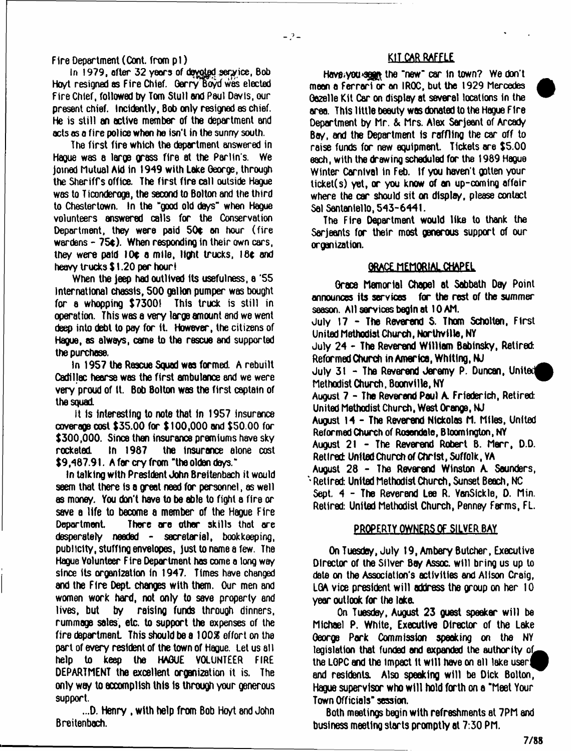F ire Department (Cont. from p 1)

In 1979, after 32 years of devoted service, Bob Hoyt resigned as Fire Chief. Gerry Boyd was elected Fire Chief, followed by Tom Stull and Paul Davis, our present chief. Incidently, Bob only resigned as chief. He is still an active member of the department and acts as a fire police when he isn't in the sunny south.

The first fire which the department answered in Hague was a large grass fire at the Parlin's. We joined Mutual Aid in 1949 with Lake George, through the Sheriffs office. The first fire call outside Hague was to T iconderoga, the second to Bolton and the third to Chestertown. in the "good old days'\* when Hague volunteers answered calls for the Conservation Department, they were paid  $50¢$  on hour (fire wardens - 7Se). When responding in their own cars, they were paid 10¢ a mile, light trucks, 18¢ and heavy trucks \$ 1.20 per hour!

When the jeep had outlived its usefulness, a '55 International chassis, 500 gallon pumper was bought for a whopping \$73001 This truck is still in operation. This was a very large amount and we went deep into debt to pay for It. However, the citizens of Hague, as always, came to the rescue and supported the purchase.

In 1957 the Rescue Squad was formed. A rebuilt Cadillac hearse was the first ambulance and we were very proud of It. Bob Bolton was the first captain of the squad.

It Is interesting to note that In 1957 insurance coverage cost \$35.00 for \$ 100,000 and \$50.00 for \$300,000. Since then insurance premiums have sky rocketed In 1967 the insurance atone cost  $$9,487.91.$  A far cry from "the olden days."

In talking with President John Breitenbach it would seem that there is a great need for personnel, as well as money. You don't have to be able to fight a fire or save a life to become a member of the Hague Fire Deportment There are other skills that are desperately needed - secretarial, bookkeeping, publicity, stuffing envelopes, just to name a few. The Hague Volunteer Fire Department has come a long way since its organization in 1947. Times have changed and the Fire Dept changes with them. Our men and women work hard, not only to save property and lives, but by raising funds through dinners, rummage sales, etc. to support the expenses of the fire department. This should be a 100% effort on the part of every resident of the town of Hague. Let us all help to keep the HAGUE VOLUNTEER FIRE DEPARTMENT the excellent organization it is. The only wey to accomplish this is through your generous support.

...D. Henry , with help from Bob Hoyt and John Breitenbach.

## KIT.CAR RAFFLE

Have.you seen the "new" car in town? We don't mean a Ferrari or an I ROC, but the 1929 Mercedes Gazelle Kit Car on display at several locations in the area. This little beauty was donated to the Hague Fire Department by Mr. & Mrs. Alex Serjeant of Arcady Bay, and the Department is raffling the car off to raise funds for new equipment. Tickets are \$5.00 each, with the drawing scheduled for the 1989 Hague Winter Carnival in Feb. If you haven't gotten your ticket(s) yet, *or* you know of an up-coming affair where the car should sit on display, please contact Sal Santaniello, 543-6441.

The Fire Department would like to thank the Serjeants for their most generous support of our organization.

## *ARACE MEMORIAL CHAPEL*

Grace Memorial Chapel at Sabbath Day Point announces its services for the rest of the summer season. All services begin at 10 AM. July 17 - The Reverend S. Thom Scholten, First United Methodist Church, Northvflle, NY July 24 - The Reverend William Babinsky, Retired: Reformed Church inAmerica, Whiting, NJ July  $31$  - The Reverend Jeremy P. Duncan, United Methodist Church, Boonville, NY August 7 - The Reverend Paul A. Friederich, Retired: United Methodist Church, West Orange, NJ August 14 - The Reverend Nickolas M. Mites, United Reformed Church of Rosendale, Bloomington, NY August  $21$  - The Reverend Robert B. Merr, D.D. Retired: United Church of Christ, Suffolk, YA August 28 - The Reverend Winston A. Sounders, \*• Retired: United Methodist Church, Sunset Beach, NC Sept. 4 - The Reverend Lee R. VanSickle, D. Min. Retired: United Methodist Church, Penney Farms, FL.

# PROPERTY OWNERS OF SILVER BAY

On Tuesdey, July 19, Ambery Butcher, Executive Director of the Silver Bay Assoc, will bring us up to date on the Association's activities and Alison Craig, LGA vice president will address the group on her 10 year outlook for the lake.

On Tuesday, August 23 guest speeker will be Michael P. White, Executive Director of the Lake George Park Commission speaking on the NY legislation that funded and expanded the authority of the LGPC and the impact it will have on all lake user! and residents. Also speaking will be Dick Bolton, Hague supervisor who will hold forth on a "Meet Your Town Officials" session.

Both meetings begin with refreshments at 7PM and business meeting starts promptly at 7:30 PM.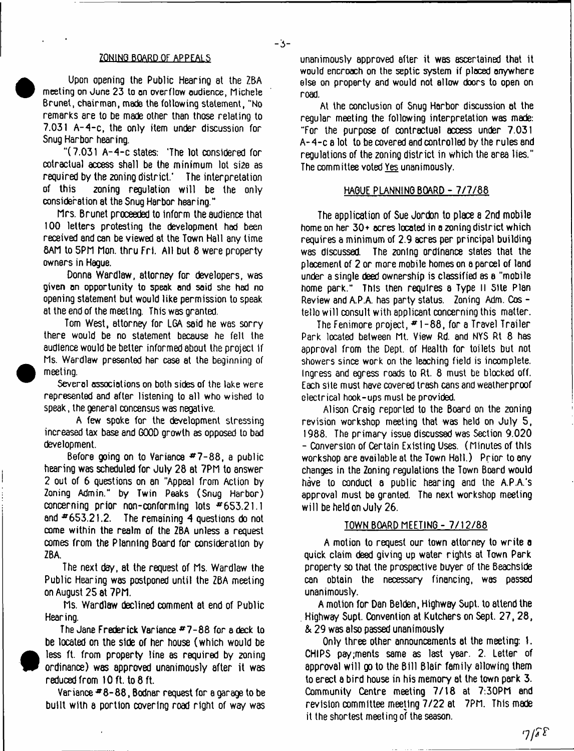#### ZQNINQ BOARD OF APPEALS

- 3 -

Upon opening the Public Hearing at the ZBA meeting on June 23 to on overflow oudience, Michele Brunet, chairman, made the following statement, "No remarks are to be made other than those relating to 7.031 A-4-c, the only item under discussion for Snug Harbor hearing.

"(7.031 A-4-c states: 'The lot considered for cotractual access shall be the minimum lot si2e as required by the zoning district.' The interpretation of this zoning regulation w ill be the only consideration at the Snug Harbor hearing."

Mrs. Brunet proceeded to inform the audience that 100 letters protesting the development had been received and can be viewed at the Town Hall any time BAM to 5PM Mon. thru Fri. All but 8 were property owners in Hague.

Donna Wardlaw, attorney for developers, was given on opportunity to speak and said she hod no opening statement but would like permission to speak at the end of the meeting. This was granted.

Tom West, attorney for LGA said he was sorry there would be no statement because he felt the audience would be better informed about the project if Ms. Wardlaw presented her case at the beginning of meeting.

Several associations on both sides of the lake were represented and after listening to all who wished to speak, the general concensus was negative.

A few spoke for the development stressing increased tax base and GOOD growth as opposed to bad development.

Before going on to Variance  $#7-88$ , a public hearing was scheduled for July 28 at 7PM to snswer 2 out of 6 questions on an "Appeal from Action by Zoning Admin." by Twin Peaks ( Snug Harbor) concerning prior non-conforming lots #653.21.1 and  $*653.21.2$ . The remaining 4 questions do not come within the realm of the ZBA unless a request comes from the Planning Board for consideration by ZBA.

The next day, at the request of Ms. Wardlaw the Public Hearing was postponed until the ZBA meeting on August 25 at 7PM.

Ms. Wardlaw declined comment at end of Public Hearing.

The Jane Frederick Variance  $#7-88$  for a deck to be located on the side of her house (which would be less ft. from property line as required by zoning ordinance) was approved unanimously after it was reduced from I Oft. to 8 ft.

Variance  $48 - 88$ , Bodnar request for a garage to be built with a portion covering road right of way was

unanimously approved after it was ascertained that it would encroach on the septic system if ploced onywhere else on property and would not allow doors to open on road.

At the conclusion of Snug Harbor discussion at the regular meeting the following interpretation was made: "For the purpose of contractual access under 7.031 A-4-c a lot to be covered and controlled by the rules and regulations of the zoning district in which the area lies." The committee voted Yes unanimously.

### HAGUE PLANNING BOARD - 7/7/88

The application of Sue Jordon to place a 2nd mobile home on her 30+ ocres located in a zoning district which requires a minimum of 2.9 acres per principal building was discussed. The zoning ordinance states that the placement of 2 or more mobile homes on a parcel of land under a single deed ownership is classified as a "mobile home park." This then requires a Type 11 Site Plan Review and A.P.A. has party status. Zoning Adm. Cos tello will consult with applicant concerning this matter.

The Fenimore project,  $# 1 - 88$ , for a Travel Trailer Park located between Mt. View Rd. and NYS Rt 8 has approval from the Dept, of Health for toilets but not showers since work on the leaching field is incomplete. Ingress and egress roads to Rt. 8 must be blocked off. Each site must have covered trash cans and weatherproof electrical hook-ups must be provided.

Alison Craig reported to the Board on the zoning revision workshop meeting that was held on July 5, 1988. The primary issue discusssd was Section 9.020 - Conversion of Certain Existing Uses. (Minutes of this workshop are available at the Town Hall.) Prior to any changes in the Zoning regulations the Town Board would have to conduct a public hearing and the A.PA's approval must be granted. The next workshop meeting will be held on July 26.

#### TOWN BOARD MEETING - 7/12/88

A motion to request our town attorney to write a quick claim deed giving up water rights at Town Park property so that the prospective buyer of the Beachside can obtain the necessary financing, was passed unanimously.

A motion for Dan Belden, Highway Supt. to attend the . Highway Supt. Convention at Kutchers on Sept. 27, 28, & 29 was also passed unanimously

Only three other announcements at the meeting: I. CHIPS pay;ments same as last year. 2. Letter of approval w ill go to the Bill Blair family allowing them to erect a bird house in his memory at the town park 3. Community Centre meeting 7/18 at 7:30PM and revision committee meeting 7/22 at 7PM. This made it the shortest meeting of the season.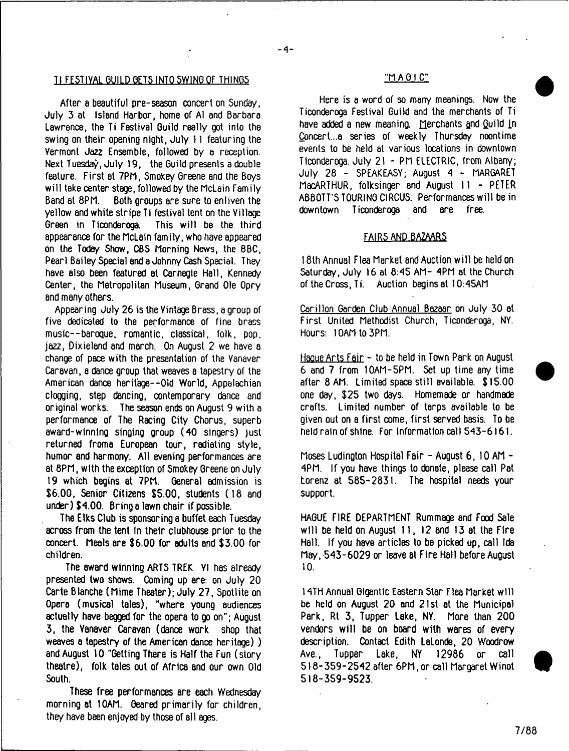# TI FESTIVAL GUILD GETS INTO SWING OF THINGS THE STRING MANAGEMENT CONTROLLER THANGER THAT A CHILD THANGER THANGER THANGER THANGER THANGER THANGER THANGER THANGER THANGER THANGER THANGER THANGER THANGER THANGER THANGER THAN

After e beautiful pre-season concert on Sunday, July 3 at Island Harbor, home of A1 and Barbara Lawrence, the Ti Festival Guild really got into the swing on their opening night, July 11 featuring the Vermont Jazz Ensemble, followed by a reception. Next Tuesday, July 19, the Guild presents a double feature. First at 7PM, Smokey Greene and the Boys will take center stage, followed by the McLain Family Band at 8PM. Both groups are sure to enliven the yellow and white stripe Ti festival tent on the Village Green in Ticonderoga. This will be the third appearance for the McLain family, who have appeared on the Today Show, CBS Morning News, the BBC, Pearl Bailey Special and a Johnny Cash Special. They have also been featured at Carnegie Hall, Kennedy Center, the Metropolitan Museum, Grand Ole Opry and many others.

Appearing July 26 is the Vintage Brass, a group of five dedicated to the performance of fine brass music--baroque, romantic, classical, folk, pop, jazz, Dixieland 8nd march. On August 2 we have a change of pace with the presentation of the Vanaver Caravan, a dance group that weaves a tapestry of the American dance heritage--Old World, Appalachian clogging, step dancing, contemporary dance and original works. The season ends on August 9 with a performance of The Racing City Chorus, superb award-winnino singing group (40 singers) just returned frome European tour, radiating style, humor and harmony. All evening performances are at 8PM, with the exception of Smokey Greene on July 19 which begins at 7PM. General admission is \$6.00, Senior Citizens \$5.00, students (18 and under) \$4.00. Bring a lawn chair if possible.

The Elks Club is sponsoring a buffet each Tuesday across from the tent In their clubhouse prior to the concert. Meals are \$6.00 for adults and \$3.00 for children.

The award winning ARTS TREK VI has already presented two shows. Coming up are: on July 20 Carte Blanche (Mime Theater); July 27, Spotlite on Opera (musical tales), "where young audiences actually have begged for the opera to go on"; August 3, the Vanaver Caravan (dance work shop that weaves a tapestry of the American dance heritage) ) and August 10 "Getting There is Half the Fun (story theatre), folk tales out of Africa and our own Old South.

These free performances are each Wednesday morning at 10AM. Geared primarily for children, they have been enjoyed by those of all ages.

Here is a word of so many meanings. Now the Ticonderoga Festival Guild and the merchants of Ti have added a new meaning. Merchants and Guild In Concert...a series of weekly Thursday noontime events to be held at various locations in downtown Ticonderoga. July 21 - PM ELECTRIC, from Albany; July 28 - SPEAKEASY; August 4 - MARGARET MacARTHUR, folksinger and August 11 - PETER ABBOTT'S TOURING CIRCUS. Performances will be in downtown Ticonderoga and are free.

#### FAIRS AND.BAZAAR5

18lh Annual Flea Market and Auction w ill be held on Saturday, July 16 at 8:45 AM- 4PM at the Church of the Cross, Ti. Auction begins at 10:45AM

Carillon Garden Club Annual Bazaar on July 30 at First United Methodist Church, Ticonderoga, NY. Hours: 10AM to 3PM.

Haoue Arts Fair - to be held in Town Park on August 6 and 7 from I0AM-5PM. Set up time any time after 8 AM. Limited space still available. \$15.00 one day, \$25 two days. Homemade or handmade crafts. Limited number of tarps available to be given out on a first come, first served basis. To be held rain of shine. For information call 543-6161.

Moses Ludington Hospital Fair - August 6, 10 AM - 4PM. If you have things to donate, please call Pat Lorenz at 585-2831. The hospital needs your support.

HAGUE FIRE DEPARTMENT Rummage and Food Sale will be held on August 11, 12 and 13 at the Fire Hall. If you have articles to be picked up, call Ida May, 543-6029 or leave at Fire Hall before August 10**.**

14TH Annual Gigantic Eastern Star Flea Market will be held on August 20 and 21st at the Municipal Park, Rt 3, Tupper Lake, NY. More than 200 vendors will be on board with wares of every description. Contact Edith LaLonde, 20 Woodrow Ave., Tupper Lake, NY 12986 or call 518-359-2542 after 6PM, or call Margaret Winot 518-359-9523.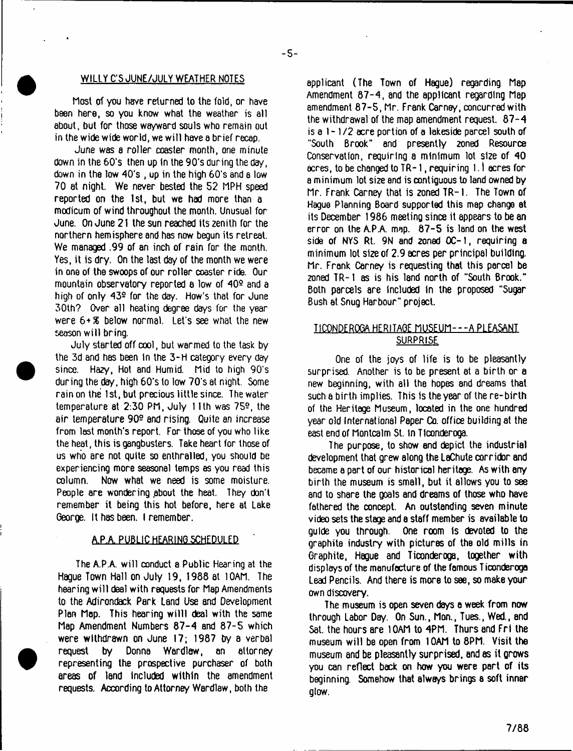#### WILLY C'S JUNE/JULY WEATHER NOTES

Most of you have returned to the fold, or have been here, so you know what the weather is all about, but for those wayward souls who remain out in the wide wide world, we w ill have a brief recap.

June was a roller coaster month, one minute down in the 60's then up in the 90's during the day, down in the low 40's , up in the high 60's and a low 70 at night. We never bested the 52 MPH speed reported on the 1st, but we had more than a modicum of wind throughout the month. Unusual for June. On June 21 the sun reached its zenith for the northern hemisphere and has now begun its retreat. We managed .99 of an inch of rain for the month. Yes, it is dry. On the last day of the month we were in one of the swoops of our roller coaster ride. Our mountain observatory reported a low of 40? and a high of only 43e for the day. How's that for June 30th? Over all heating degree days for the year were 6+S below normal. Let's see what the new season w ill bring.

July started off cool, but warmed to the task by the 3d and has been in the 3-H category every day since. Hazy, Hot and Humid. Mid to high 90's during the day, high 60's to low 70's at night. Some rain on the 1st, but precious little since. The water temperature at 2:30 PM, July 11th was 75?, the air temperature 90? and rising. Quite *an* increase from last month's report. For those of you who like the heat, this is gangbusters. Take heart for those of us who are not quite so enthralled, you should be experiencing more seasonal temps as you read this column. Now what we need is some moisture. People are wandering pbout the heat. They don't remember it being this hot before, here at Lake George. It has been. I remember.

#### A.PA PUBLIC HEARING SCHEDULED

The A.P.A. will conduct a Public Hearing at the Hague Town Hall on July 19, 1988 at 10AM. The hearing w ill deal with requests for Map Amendments to the Adirondack Park Land Use and Development Plan Map. This hearing willl deal with the same Map Amendment Numbers 87-4 and 87-5 which were withdrawn on June 17; 1987 by a verbal request by Donna Wardlaw, an attorney representing the prospective purchaser of both areas of land included within the amendment requests. According to Attorney Wardlaw, both the

applicant (The Town of Hague) regarding Map Amendment 87-4, and the applicant regarding Map amendment 87-5, Mr. Frank Carney, concurred with the withdrawal of the map amendment request. 87-4 is a 1- 1/2 acre portion of a lakeside parcel south of "South Brook" and presently 2oned Resource Conservation, requiring a minimum lot size of 40 acres, to be changed to TR-1, requiring 1.1 acres for a minimum lot size and is contiguous to land owned by Mr. Frank Carney that is zoned TR-I. The Town of Hague Planning Board supported this map change at its December 1986 meeting since it appears to be an error on the A.PA map. 87-5 is land on the west side of NYS Rt. 9N and zoned OC-1, requiring *a* minimum lot size of 2.9 acres per principal building. Mr. Frank Carney is requesting that this parcel be 2oned TR-1 as is his land north of "South Brook." Both parcels are included In the proposed "Sugar Bush at Snug Harbour" project.

# TICONDEROGA HERITAGE MUSEUM - - - A PLEASANT **SURPRISE**

One of the joys of life is to be pleasantly surprised. Another is to be present at a birth or a new beginning, with all the hopes and dreams that such a birth implies. This is the year of the re-birth of the Heritage Museum, located in the one hundred year old International Paper Co. office building at the east end of Montcalm St. in Ticonderoga.

The purpose, to show end depict the industrial development that grew along the LaChute corridor and became a part of our historical heritage. As with any birth the museum is small, but it allows you to see and to shere the goals and dreams of those who have fathered the concept. An outstanding seven minute video sets the stage and e staff member is available to guide you through. One room Is devoted to the graphite industry with pictures of the old mills in Graphite, Hague and Ticonderoga, together with displays of the manufacture of the famous Ticonderoga Lead Pencils. And there is more to see, so make your own discovery.

The museum is open seven days a week from now through Labor Day. On Sun., Mon., Tues., Wed., and Sat. the hours are 10AM to 4PM. Thurs and Fri the museum w ill be open from 10AM to 8PM. Visit the museum and be pleasantly surprised, and as it grows you can reflect back on how you were part of its beginning. Somehow that always brings a soft inner glow.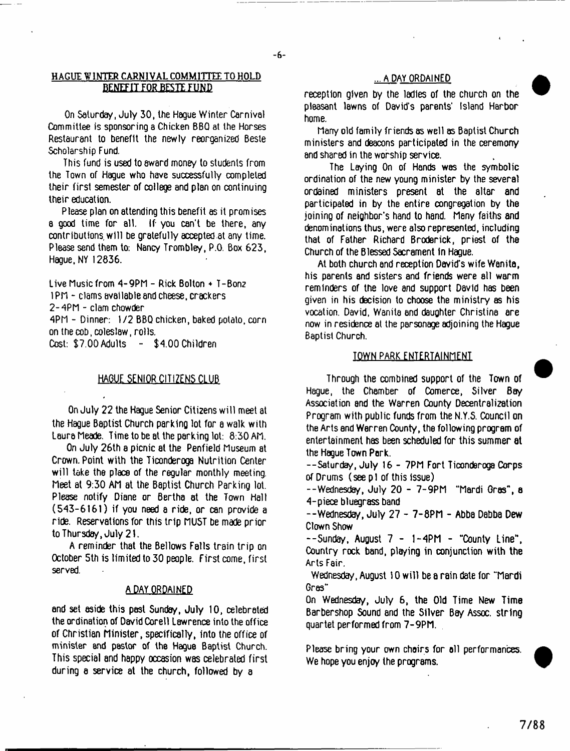## **HAGUE WINTER CARNIVAL COMMITTEE TO HOLD** ... A DAY ORDAINED **BENEFIT FOR BESTE FUND**

On Saturday, July 30, the Hague Winter Carnival Committee is sponsoring a Chicken BBQ at the Horses Restaurant to benefit the newly reorganized Beste Scholarship Fund.

This fund is used to sward money to students from the Town of Hague who have successfully completed their first semester of college and plan on continuing their education.

Please plan on attending this benefit as it promises a good time for all. If- you can't be there, any contributions, w ill be gratefully accepted at any time. Please send them to: Nancy Trombley, P.O. Box 623, Hague, NY 12836.

Live Music from 4 -9PM - Rick Bolton + T-Bonz 1 PM - clams available and cheese, crackers

2 -4PM - clam chowder

4PM - Dinner: 1/2 BBQ chicken, baked potato, corn on the cob, coleslaw, rolls.

Cost: \$7.00 Adults - \$4.00 Children

## **HAGUE SENIOR CITIZENS CLUB**

On July 22 the Hague Senior Citizens will meet at the Hague Baptist Church parking lot for a walk with Laura Meade. Time to be at the parking lot: 8:30 AM.

On July 26th a picnic at the Penfield Museum at Crown. Point with the Ticonderoga Nutrition Center will take the place of the regular monthly meeting. Meet at 9:30 AM at the Baptist Church Parking lot. Please notify Diane or Bertha at the Town Hall (543-6161) if you need a ride, or can provide a ride. Reservations for this trip MUST be made prior to Thursday, July 21.

A reminder that the Bellows Falls train trip on October 5th is limited to 30 people. First come, first served.

## A DAY ORDAINED

and set aside this pest Sunday, July 10, celebrated the ordination of David Corell Lawrence into the office of Christian Minister, specifically, into the office of minister and psstor of the Hague Baptist Church. This special and happy occasion was celebrated first during e service at the church, followed by a

reception given by the ladles of the church on the pleasant lawns of David's parents' Island Harbor home.

Many old family friends as well as Baptist Church ministers and deacons participated in the ceremony and shared in the worship service.

The Laying On of Hands was the symbolic ordination of the new young minister by the several ordained ministers present at the altar and participated in by the entire congregation by the joining of neighbor's hand to hand. Many faiths and denominations thus, were also represented, including that of Father Richard Broderick, priest of the Church of the Blessed Sacrament In Hague.

At both church and reception David's wife Wanita, his parents and sisters and friends were all warm reminders of the love and support David has been given in his decision to choose the ministry as his vocation. David, Wanita and daughter Christina are now in residence at the parsonage adjoining the Hague Baptist Church.

## TOWN PARK ENTERTAINMENT

Through the combined support of the Town of Hague, the Chamber of Comerce, Silver Bay Association and the Warren County Decentralization Program with public funds from the N.Y.S. Council on the Arts and Werren County, the following program of entertainment has been scheduled for this summer at the Hague Town Pork.

--Saturday, July 16 - 7PM Fort Ticonderoga Corps of Drums (see pi of this issue)

--Wednesday, July 20 - 7 -9PM "Mardi Gras" , a 4-piece bluegrass band

--Wednesday, July 27 - 7-8PM - Abba Dabba Dew Clown Show

 $-$ Sunday, August  $7 - 1 - 4$ PM  $-$  "County Line", Country rock band, playing in conjunction with the Arts Fair.

Wednesday, August 10 will be a rain date for "Mardi Gres'\*

On Wednesday, July 6, the Old Time New Time Barbershop Sound and the Silver Bay Assoc, string quartet performed from 7-9PM.

Please bring your own chairs for ell performances. We hope you enjoy the programs.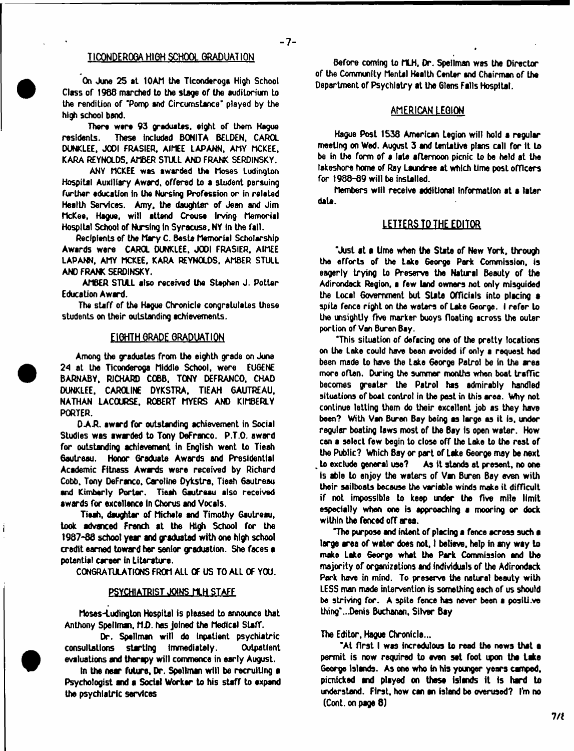## **TICQNDEROQA HIGH SCHOOL GRADUATION**

**On June 25 at 10AM the Ticonderoga High School Class or 1988 marched to the stage of the auditorium to the rendition of 'Pomp and Circumstance' played by the high school band.**

**There were 93 graduates, eight of them Hague** residents. These included BONITA BELDEN, CAROL DUNKLEE, JODI FRASIER, AIMEE LAPANN, AMY MCKEE, **KARA REYNOLDS. AMBER STULL AND FRANK SERDINSKY.**

**ANY MCKEE was awarded the Moses Ludington Hospital Auxiliary Award, offered to a student persuing** further education in the Nursing Profession or in related **Health Services. Amy. the daughter of Jean and Jim McKee, Hague, will attend Crouse Irving Memorial Hospital School of Nursing In Syracuse, NY In the fall.**

**Recipients of the Mary C. Baste Memorial Scholarship Awards were CAROL DUNKLEE. J00I FRASIER. AIMEE LAPANN. AMY MCKEE. KARA REYNOLDS. AMBER STULL AND FRANK SERDINSKY.**

**AMBER STULL also received the Stephen J. Potter** Education Award.

**The stiff of the Hague Chronicle congratulates these students on their outstanding achievements.**

#### EIGHTH GRAPE GRADUATION

**Among the graduates from the eighth grade on June** *24* **at the Ticonderoga Middle School, were EUGENE BARNABY, RICHARD COBB, TONY DEFRANCO. CHAD DUNKLEE. CAROLINE DYKSTRA, TIEAH GAUTREAU. NATHAN LACOURSE. ROBERT MYERS AND KIMBERLY PORTER.**

**D.AR. award for outstanding achievement in Social Studies was awwded to Tony DeFranco. P.T.O. award for outstanding achievement in English went to Tieah 6autreau. Honor Graduate Awards and Presidential Academic Fitness Awards were received by Richard Cobb. Tony DeFranco. Caroline Dykstra, Tieah 6autreau and Kimberly Porter. Tieah Gautreau also received awards for excellence In Chorus end Vocals.**

**Tieah, daughter of Michele and Timothy Gautreau, took advanced French at the High School for the 1987-86 school year and paduated with one high school credit earned toward her senior graduation. She faces a potential career in Literature.**

**CONGRATULATIONS FROM ALL OF US TO ALL OF YOU.**

#### **PSYCHIATRIST JOINS MLH STAFF**

**Moses-Ludington Hospital is pleased to announce that Anthony Spellmsi, MD. has joined the Medical Staff.**

**Dr. Spellman will do inpatient psychiatric consultations starting Immediately. Outpatient evaluations and ther^y will commence in early August.**

**In the near future, Dr. Spellman will be recruiting a Psychologist and a Social Worker to his staff to expend the psychiatric services**

**Before coming to MLH, Dr. Spellman was the Director of the Community Mental Health Center end Chairman of the Department of Psychiatry at the Glens Falls Hospital.**

#### AMERICAN LEGION

**Hague Post 1538 American Legion will hold a regular meeting on Wed. August 3 and tentative plans call for It to be in the form of a late afternoon picnic to be held at the lakeshore home of Ray Laundree at which time post officers for 1988-89 will be installed.**

**Members will receive additional Information at a later date.**

### **LETTERS TO THE EDITOR**

**'Just at a time when the State of New York, through the efforts of the take George Park Commission, is eagerly trying to Preserve the Natural Beauty of the Adirondack Region, a few land owners not only misguided the Local Government but State Officials into placing a spite fence right on the waters of Lake George. I refer to the unsightly five marker buoys floating across the outer portion of Van Buren Bay.**

**'This situation of defacinQ one of the pretty locations on the take could have been avoided if only a request had been made to have the Lake George Patrol be in the area more often. During the summer months when boat trafTic becomes greater the Patrol has admirably handled situations of boat control in the past in this area. Vfty not continue letting them do their excellent job as they have been? With Van Buren Boy being as targe as it is, under regular boating laws most of the Bay Is open water. How can a select few begin to close off the Lake to the rest of the Public? Which Bay or part of Lake 6eorge may be next " to exclude general use? As it stands at present, no one is able to enjoy the waters of Von Buren Bay evsn with their sailboats because the variable winds make it difficult if not impossible to keep under the five mile limit especially when one is approaching a mooring or dock within the fenced off area.**

**The purpose and intent of placing a fence across such ■** large area of water does not, I believe, help in any way to **make Lake George what the Park Commission end the majority of organizations and individuals of the Adirondack Park hove in mind. To preserve the natural beauty with LESS man made intervention is something each of us should be striving for. A spite fence has never been a positi.ve thing' .. Den is Buchanan, Silver Bay**

#### **The Editor, Hague Chronicle...**

**'At first I was incredulous to read the news that ■ permit is now required to even set foot ipon the lake George Islands. As one who in his younger years camped, picnicked and played on these Islands it is hard to understand. First, how can an island be overused? I'm no (Cont. on page 8)**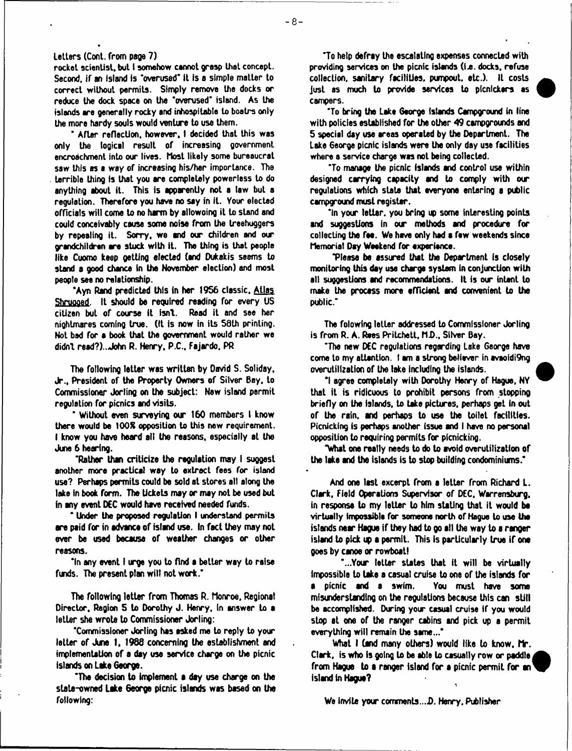#### **letters (Cont. from page 7)**

**rocket scientist, but I somehow cannot grasp that concept. Second, if an island is 'overused\* it Is a simple matter to correct without permits. Simply remove the docks or reduce the dock space on the 'overused' island. As the islands are generally rocky and inhospitable to boatrs only the more hardy souls would venture to use them.**

**' After reflection, however. I decided that this was only the logical result of increasing government encroachment into our lives, host likely some bureaucrat saw this as a way of increasing his/her importance. The terrible thing Is that you are completely powerless to do anything about it. This is apparently not a law but a regulation. Therefore you have no say in it. Your elected officials will come to no** *ham* **by allowoing it to stand and could conceivably causa soma noise from the Ireehuggers** by repealing it. Sorry, we and our children and our **grandchildren are stuck with it. The thing is that people like Cuomo keep getting elected (and Dukakis seems to stand a good chance in the November election) and most people see no relationship.**

**'Ayn Rend predicted this in her 1956 classic. Allas Shruooed. It should be required reading for every US** citizen but of course it isn't. Read it and see her **nightmares coming true. (It is now in its 58th printing. Not bad for a book that the government would rather we didn't read?).. John R. Henry. P.C., Fajardo. PR**

**The following letter was written by David S. Soliday, Jr., President of the Property Owners of Silver Boy. to Commissioner Jorling on the subject: New island permit regulation for picnics and visits.**

**' Without even surveying our 160 members I know there would be 100R opposition to this new requirement. I know you have heard all the reasons, especially at the June 6 hearing.**

**'Rather than criticize the regulation may I suggest another more practical way to extract fees for island use? Perhaps permits could be sold at stores all along the lake In book form. The Udcets may or may not be used but in any event DEC would have received needed funds.**

**' Under the proposed regulation I understand permits are paid for in advance of island use. In fact they may not ever be used because of weather changes or other reasons.**

**'In any event I urge you to find a better way to raise funds. The present plan will not work.\***

**The following letter from Thomas R. Monroe. Regional Director, Region 5 to Dorothy J. Henry, In answer to a letter she wrote to Commissioner Jorling:**

**'Commissioner Jorling has asked me to reply to your letter of Jtae 1. 1988 concerning the establishment and implementation of a day use service charge on the picnic islands on Lake George.**

**'The decision to implement a day use charge on the state-owned L** *tke* **George picnic islands was based on the following:**

**'To help defray the escalating expenses connected with providing services on the picnic islands (la. docks, refuse collection, sanitary facilities, pumpout, etc.). It costs Just as much to provide services to picnickers as campers.**

**'To bring the Lake George (stands Campground in line with policies established for the other 49 campgrounds and 5 special day use areas operated by the Department. The lake 6eorge picnic islands were the only day use facilities where a service charge was not being collected.**

**'To manage the picnic islands and control use within designed carrying capacity and to comply with our regulations which state that everyone entering a public campground must register.**

**'In your letter, you bring 19 some interesting points and suggestions in our methods and procedure for collecting the fee. We have only had a few weekends since Memorial Day Weekend for experience.**

**Tlesse be assured that the Department is closely monitoring this day use charge system in conjunction with all suggestions and recommendations. It is our intent to make the process more efficient and convenient to the public.'**

**The folowing letter addressed to Commissioner Jorling is from R. A. Rees Pritchett, Mi).. Silver Bay.**

**'The new DEC regulations regarding Lake George have come to my attention. I am a strong believer in avaoidi9ng overutiltzaLion of the lake Including the islands.**

**\*1 agree completely with Dorothy Henry of Hague, NY that it is ridicuous to prohibit persons from stopping briefly on the islands, to take pictures, perhaps geL in out of the rain, and perhaps to use the toilet facilities. Picnicking is perhaps another issue and I have no personal opposition to requiring permits for picnicking.**

**"What one really needs to do to avoid overutilization of the lake and the islands is to stop building condominiums."**

**And one last excerpt from a letter from Richard L. Clark, Field Operations Supervisor of DEC. Warrensburg. in response to my letter to him stating that it would bt virtually impossible for someone north of Hague to use the islands near Hague if they had to go all the way to a ranger island to pick 19 a permit. This Is particularly true if one goes by canoe or rowboat)**

**'...Your letter states that ft will be virtually impossible to take a casual cruise to one of the islands for a picnic and a swim. You must have some misunderstanding on the regulations because this can still be accomplished. During your casual cruise if you would stop at one of the ranger cabins and pick up a permit everything will remain the same..."**

**What I (and many others) would like to know. Mr. Clark, is who is going to be able to casually row or paddle** from Hague to a ranger island for a picnic permit for an<sup>1</sup> **island in Hague?**

**We invite your comments***...\$.* **Henry, Publisher**



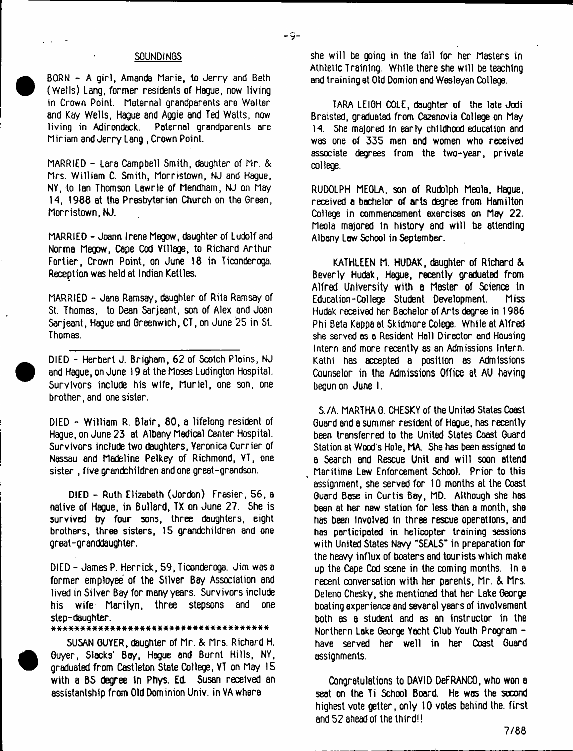#### **SOUNDINGS**

BORN - A girl, Amanda Marie, to Jerry and Beth (Wells) Lang, former residents of Hague, now living in Crown Point. Maternal grandparents are Walter and Kay Wells, Hague and Aggie and Ted Watts, now living in Adirondack. Paternal grandparents are Miriam and Jerry Lang , Crown Point.

MARRIED - Lara Campbell Smith, daughter of Mr. & Mrs. William C. Smith, Morristown, NJ and Hague, NY, to Ian Thomson Lawrie of Mendham, NJ on May 14, 1988 at the Presbyterian Church on the Green, Morristown, NJ.

MARRIED - Joann Irene Megow, daughter of Ludolf and Norma Megow, Cape Cod Village, to Richard Arthur Fortier, Crown Point, on June 18 in Ticonderoga. Reception was held at Indian Kettles.

MARRIED - Jane Ramsay, daughter of Rita Ramsay of St. Thomas, to Dean Sarjeant, son of Alex and Joan Sarieant, Haque and Greenwich, CT, on June 25 in St. Thomas.

DIED - Herbert J. Brigham, 62 of Scotch Plains, NJ and Hague, on June 19 at the Moses Ludington Hospital. Survivors include his wife, Muriel, one son, one brother, and one sister.

DIED - William R. Blair, 80, a lifelong resident of Hague, on June 23 at Albany Medical Center Hospital. Survivors include two daughters. Veronica Currier of Nassau and Madeline Pelkey of Richmond, VT, one sister , five grandchildren and one great-grandson.

DIED - Ruth Elizabeth (Jordon) Frasier, 56, a native of Hague, in Bullard, TX on June 27. She is survived by four sons, three doughters, eight brothers, three sisters, 15 grandchildren and one great-granddaughter.

DIED - James P. Herrick, 59, Ticonderoga. Jim was a former employee of the Silver Bay Association and lived in Silver Bay for many years. Survivors include his wife Marilyn, three stepsons and one step-daughter.

#### • i t \* \* \* \* \* \* \* \* \* \* \* \* \* \* \* \* \* \* \* \* \* \* \* \* \* \* \* \* \* \* \* \* \* \* \* \*

SUSAN GUYER, daughter of Mr. & Mrs. Richard H. Guyer, Slacks' Bay, Hague and Burnt Hills, NY, graduated from Castleton State College, VT on May 15 with a BS degree in Phys. Ed. Susan received an assistantship from Old Dominion Univ. in VA where

she w ill be going in the fall for her Masters in Athletic Training. While there she will be teaching and training at Old Domion and Wesleyan College.

 $-9-$ 

TARA LEIGH COLE, daughter of the late Jodi Braisted, graduated from Cazenovia College on May 14. She majored In early childhood education and was one of 335 men and women who received associate degrees from the two-year, private college.

RUDOLPH MEOLA, son of Rudolph Meola, Hague, received a bachelor of arts degree from Hamilton College in commencement exercises on May 22. Meola majored in history and will be attending Albany Law School in September.

KATHLEEN M. HUDAK, daughter of Richard & Beverly Hudak, Hague, recently graduated from Alfred University with a Master of Science in Education-Col lege Student Development. Miss Hudak received her Bachelor of Arts degree in 1986 Phi Beta Kappa at Skidmore Colege. While at Alfred she served as a Resident Hall Director end Housing Intern and more recently as an Admissions Intern. Kathl has accepted a position as Admissions Counselor in the Admissions Office at AU having begun on June 1.

S./A. MARTHA G. CHESKY of the United States Coast Guard and a summer resident of Hague, has recently been transferred to the United States Coast Guard Station at Wood's Hole, MA. She has been assigned to a Search and Rescue Unit and w ill soon attend Maritime Law Enforcement School. Prior to this assignment, she served for 10 months at the Coast Guard Base in Curtis Bay, MD. Although she has been at her new station for less than a month, she has been involved In three rescue operations, and has participated in helicopter training sessions with United States Navy "SEALS" in preparation for the heavy influx of boaters and tourists which make up the Cape Cod scene in the coming months. In a recent conversation with her parents, Mr. & Mrs. Deleno Chesky, she mentioned that her Lake George boating experience and several years of involvement both as a student and as an instructor in the Northern Lake George Yacht Club Youth Program have served her well in her Coast Guard assignments.

Congratulations to DAYID DeFRANCO, who won a seat on the Ti School Board. He was the second highest vote getter, only 10 votes behind the. first and 52 ahead of the third!!